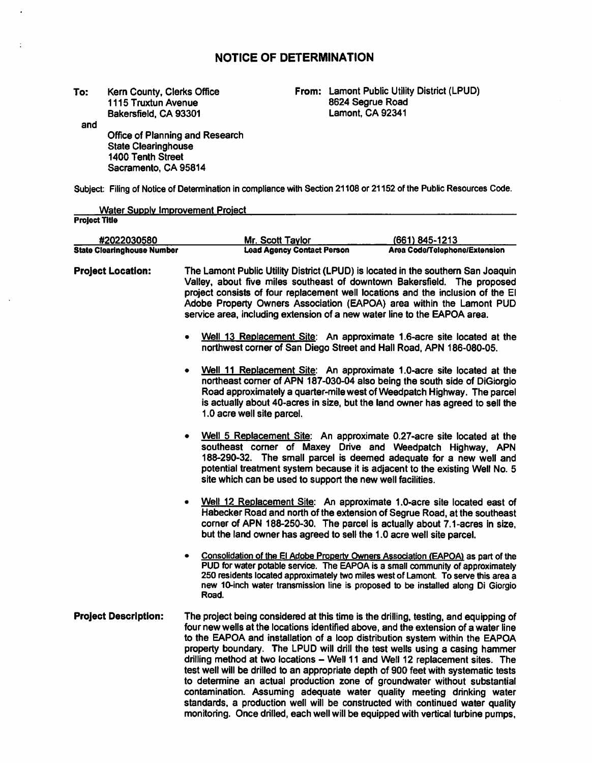# **NOTICE** OF **DETERMINATION**

**To:**  Kern County, Clerks Office 1115 Truxtun Avenue Bakersfield, CA 93301

and

 $\ddot{\phantom{a}}$ 

 $\ddot{\cdot}$ 

Office of Planning and Research State Clearinghouse 1400 Tenth Street Sacramento, CA 95814

**From:** Lamont Public Utility District (LPUD) 8624 Segrue Road Lamont, CA 92341

Subject: Filing of Notice of Determination in compliance with Section 21108 or 21152 of the Public Resources Code.

| <b>Water Supply Improvement Project</b> |                                                                                                                                                                                                                                                                                                                                                                                                                                                                                                                                                                                                                                                                                                                                                           |                               |  |  |  |  |  |
|-----------------------------------------|-----------------------------------------------------------------------------------------------------------------------------------------------------------------------------------------------------------------------------------------------------------------------------------------------------------------------------------------------------------------------------------------------------------------------------------------------------------------------------------------------------------------------------------------------------------------------------------------------------------------------------------------------------------------------------------------------------------------------------------------------------------|-------------------------------|--|--|--|--|--|
| <b>Project Title</b>                    |                                                                                                                                                                                                                                                                                                                                                                                                                                                                                                                                                                                                                                                                                                                                                           |                               |  |  |  |  |  |
| #2022030580                             | Mr. Scott Tavlor                                                                                                                                                                                                                                                                                                                                                                                                                                                                                                                                                                                                                                                                                                                                          | $(661) 845 - 1213$            |  |  |  |  |  |
| <b>State Clearinghouse Number</b>       | <b>Lead Agency Contact Person</b>                                                                                                                                                                                                                                                                                                                                                                                                                                                                                                                                                                                                                                                                                                                         | Area Code/Telephone/Extension |  |  |  |  |  |
| <b>Project Location:</b>                | The Lamont Public Utility District (LPUD) is located in the southern San Joaquin<br>Valley, about five miles southeast of downtown Bakersfield. The proposed<br>project consists of four replacement well locations and the inclusion of the El<br>Adobe Property Owners Association (EAPOA) area within the Lamont PUD<br>service area, including extension of a new water line to the EAPOA area.                                                                                                                                                                                                                                                                                                                                                       |                               |  |  |  |  |  |
|                                         | Well 13 Replacement Site: An approximate 1.6-acre site located at the<br>northwest corner of San Diego Street and Hall Road, APN 186-080-05.                                                                                                                                                                                                                                                                                                                                                                                                                                                                                                                                                                                                              |                               |  |  |  |  |  |
|                                         | Well 11 Replacement Site: An approximate 1.0-acre site located at the<br>٠<br>northeast corner of APN 187-030-04 also being the south side of DiGiorgio<br>Road approximately a quarter-mile west of Weedpatch Highway. The parcel<br>is actually about 40-acres in size, but the land owner has agreed to sell the<br>1.0 acre well site parcel.                                                                                                                                                                                                                                                                                                                                                                                                         |                               |  |  |  |  |  |
|                                         | Well 5 Replacement Site: An approximate 0.27-acre site located at the<br>$\bullet$<br>southeast corner of Maxey Drive and Weedpatch Highway, APN<br>188-290-32. The small parcel is deemed adequate for a new well and<br>potential treatment system because it is adjacent to the existing Well No. 5<br>site which can be used to support the new well facilities.                                                                                                                                                                                                                                                                                                                                                                                      |                               |  |  |  |  |  |
|                                         | Well 12 Replacement Site: An approximate 1.0-acre site located east of<br>Habecker Road and north of the extension of Segrue Road, at the southeast<br>corner of APN 188-250-30. The parcel is actually about 7.1-acres in size,<br>but the land owner has agreed to sell the 1.0 acre well site parcel.                                                                                                                                                                                                                                                                                                                                                                                                                                                  |                               |  |  |  |  |  |
|                                         | Consolidation of the El Adobe Property Owners Association (EAPOA) as part of the<br>PUD for water potable service. The EAPOA is a small community of approximately<br>250 residents located approximately two miles west of Lamont. To serve this area a<br>new 10-inch water transmission line is proposed to be installed along Di Giorgio<br>Road.                                                                                                                                                                                                                                                                                                                                                                                                     |                               |  |  |  |  |  |
| <b>Project Description:</b>             | The project being considered at this time is the drilling, testing, and equipping of<br>four new wells at the locations identified above, and the extension of a water line<br>to the EAPOA and installation of a loop distribution system within the EAPOA<br>property boundary. The LPUD will drill the test wells using a casing hammer<br>drilling method at two locations - Well 11 and Well 12 replacement sites. The<br>test well will be drilled to an appropriate depth of 900 feet with systematic tests<br>to determine an actual production zone of groundwater without substantial<br>contamination. Assuming adequate water quality meeting drinking water<br>standards, a production well will be constructed with continued water quality |                               |  |  |  |  |  |

monitoring. Once drilled, each well will be equipped with vertical turbine pumps,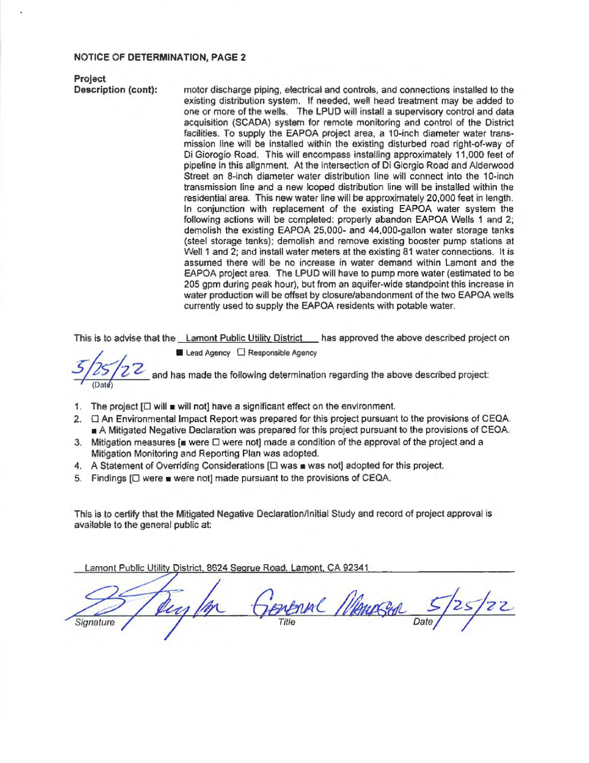## **NOTICE** OF **DETERMINATION, PAGE 2**

**Project** 

**Description (cont):** motor discharge piping, electrical and controls, and connections installed to the existing distribution system. If needed, well head treatment may be added to one or more of the wells. The LPUD will install a supervisory control and data acquisition (SCADA) system for remote monitoring and control of the District facilities. To supply the EAPOA project area, a 10-inch diameter water transmission line will be installed within the existing disturbed road right-of-way of Di Giorogio Road. This will encompass installing approximately 11.000 feet of pipeline in this alignment. At the intersection of Di Giorgio Road and AJderwood Street an 8-inch diameter water distribution line will connect into the 10-inch transmission line and a new looped distribution line will be installed within the residential area. This new water line will be approximately 20,000 feet in length. In conjunction with replacement of the existing EAPOA water system the following actions will be completed: properly abandon EAPOA Wells 1 and 2; demolish the existing EAPOA 25,000- and 44,000-gallon water storage tanks (steel storage tanks): demolish and remove existing booster pump stations at Well 1 and 2; and install water meters at the existing 81 water connections. It is assumed there will be no increase in water demand within Lamont and the EAPOA project area. The LPUD will have to pump more water (estimated to be 205 gpm during peak hour), but from an aquifer-wide standpoint this increase in water production will be offset by closure/abandonment of the two EAPOA wells currently used to supply the EAPOA residents with potable water.

This is to advise that the <u>Lamont Public Utility District</u> has approved the above described project on **■** Lead Agency **D** Responsible Agency

(Date)

and has made the following determination regarding the above described project:

- 1. The project  $[\Box$  will  $\blacksquare$  will not] have a significant effect on the environment.
- 2.  $\Box$  An Environmental Impact Report was prepared for this project pursuant to the provisions of CEQA. A Mitigated Negative Declaration was prepared for this project pursuant to the provisions of CEOA.
- 3. Mitigation measures  $\mathbf{I}$  were  $\Box$  were not] made a condition of the approval of the project and a Mitigation Monitoring and Reporting Plan was adopted.
- 4. A Statement of Overriding Considerations [ $\square$  was  $\blacksquare$  was not] adopted for this project.
- 5. Findings  $[ \Box$  were  $\blacksquare$  were not] made pursuant to the provisions of CEQA.

This is to certify that the Mitigated Negative Declaration/Initial Study and record of project approval is available to the general public at:

Lamont Public Utility District, 8624 Segrue Road, Lamont, CA 92341

PENSONAL MANAGERAL Signature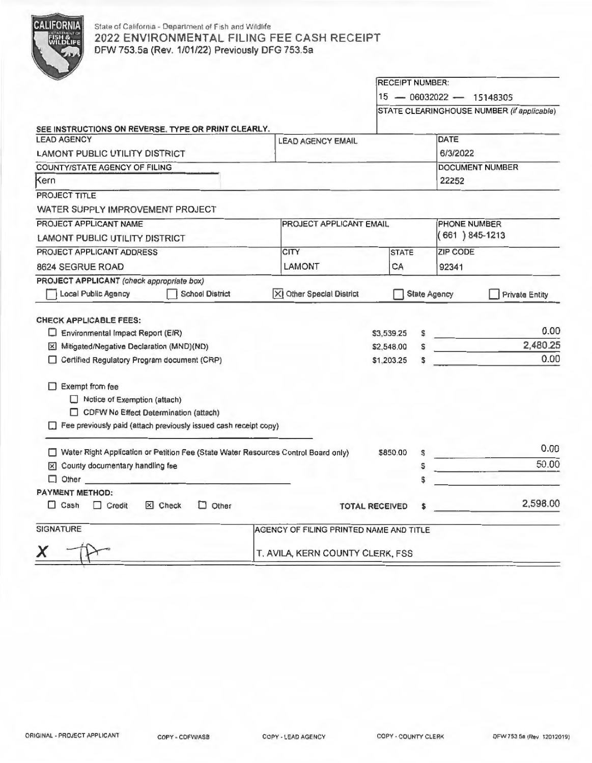

# State of California - Department of Fish and Wildlife 2022 ENVIRONMENTAL FILING FEE CASH RECEIPT OFW 753.Sa (Rev. 1/01/22) Previously DFG 753.Sa

|                                                                                                                                                                     |                                         | <b>RECEIPT NUMBER:</b>      |        |                                            |                       |  |
|---------------------------------------------------------------------------------------------------------------------------------------------------------------------|-----------------------------------------|-----------------------------|--------|--------------------------------------------|-----------------------|--|
|                                                                                                                                                                     |                                         |                             |        | 15 - 06032022 - 15148305                   |                       |  |
|                                                                                                                                                                     |                                         |                             |        | STATE CLEARINGHOUSE NUMBER (if applicable) |                       |  |
| SEE INSTRUCTIONS ON REVERSE. TYPE OR PRINT CLEARLY.                                                                                                                 |                                         |                             |        |                                            |                       |  |
| <b>LEAD AGENCY</b>                                                                                                                                                  | <b>LEAD AGENCY EMAIL</b>                |                             |        | DATE                                       |                       |  |
| LAMONT PUBLIC UTILITY DISTRICT                                                                                                                                      |                                         |                             |        | 6/3/2022                                   |                       |  |
| COUNTY/STATE AGENCY OF FILING                                                                                                                                       |                                         | <b>DOCUMENT NUMBER</b>      |        |                                            |                       |  |
| Kern                                                                                                                                                                |                                         | 22252                       |        |                                            |                       |  |
| PROJECT TITLE                                                                                                                                                       |                                         |                             |        |                                            |                       |  |
| WATER SUPPLY IMPROVEMENT PROJECT                                                                                                                                    |                                         |                             |        |                                            |                       |  |
| PROJECT APPLICANT NAME                                                                                                                                              | <b>PROJECT APPLICANT EMAIL</b>          |                             |        | PHONE NUMBER<br>$(661) 845 - 1213$         |                       |  |
| LAMONT PUBLIC UTILITY DISTRICT                                                                                                                                      |                                         |                             |        |                                            |                       |  |
| PROJECT APPLICANT ADDRESS                                                                                                                                           | <b>CITY</b>                             | <b>STATE</b>                |        | ZIP CODE                                   |                       |  |
| 8624 SEGRUE ROAD                                                                                                                                                    | LAMONT                                  | CA                          |        | 92341                                      |                       |  |
| PROJECT APPLICANT (check appropriate box)                                                                                                                           |                                         |                             |        |                                            |                       |  |
| <b>Local Public Agency</b><br><b>School District</b>                                                                                                                | XI Other Special District               |                             |        | <b>State Agency</b>                        | <b>Private Entity</b> |  |
| <b>CHECK APPLICABLE FEES:</b><br>Environmental Impact Report (EIR)<br>Mitigated/Negative Declaration (MND)(ND)                                                      |                                         | \$3,539.25<br>\$2,548.00    | s<br>Ś |                                            | 0.00<br>2,480,25      |  |
| Certified Regulatory Program document (CRP)                                                                                                                         |                                         | \$1,203.25                  |        |                                            | 0.00                  |  |
| $\Box$ Exempt from fee<br>Notice of Exemption (attach)<br>CDFW No Effect Determination (attach)<br>Fee previously paid (attach previously issued cash receipt copy) |                                         |                             |        |                                            |                       |  |
| Water Right Application or Petition Fee (State Water Resources Control Board only)                                                                                  |                                         |                             | S      |                                            | 0.00                  |  |
| X County documentary handling fee                                                                                                                                   |                                         |                             | s      |                                            | 50.00                 |  |
| $\Box$ Other                                                                                                                                                        |                                         |                             |        |                                            |                       |  |
| <b>PAYMENT METHOD:</b>                                                                                                                                              |                                         |                             |        |                                            |                       |  |
| Other<br>$\Box$ Cash<br>$\Box$ Credit<br>X Check<br>П                                                                                                               |                                         | <b>TOTAL RECEIVED</b><br>\$ |        |                                            | 2,598.00              |  |
| <b>SIGNATURE</b>                                                                                                                                                    | AGENCY OF FILING PRINTED NAME AND TITLE |                             |        |                                            |                       |  |
| x                                                                                                                                                                   | T. AVILA, KERN COUNTY CLERK, FSS        |                             |        |                                            |                       |  |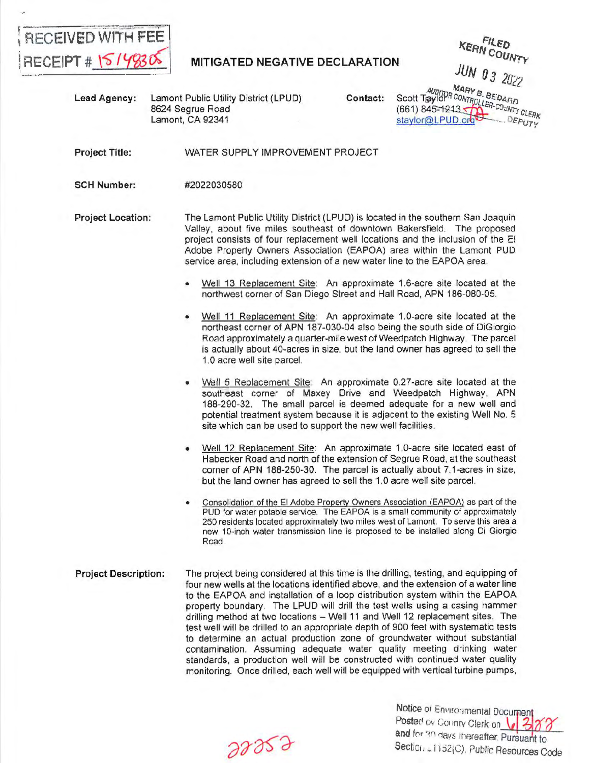

**KERN COUNTY** JUN 03 2022

Lead Agency: Lamont Public Utility District (LPUD) 8624 Segrue Road Lamont, CA 92341

Contact:

MARY B. BEDARD<br>Scott Taylor CONTROLLEDARD<br>(661) 845-1243 - COUNTY CLERK DEPUTY staylor@LPUD.org

Project Title: WATER SUPPLY IMPROVEMENT PROJECT

SCH Number: #2022030580

- **Project Location:**  The Lamont Public Utility District (LPUD) is located in the southern San Joaquin Valley, about five miles southeast of downtown Bakersfield. The proposed project consists of four replacement well locations and the inclusion of the El Adobe Property Owners Association (EAPOA) area within the Lamont PUD service area, including extension of a new water line to the EAPOA area.
	- Well 13 Replacement Site: An approximate 1.6-acre site located at the northwest corner of San Diego Street and Hall Road, APN 186-080-05.
	- Well 11 Replacement Site: An approximate 1.0-acre site located at the northeast corner of APN 187-030-04 also being the south side of DiGiorgio Road approximately a quarter-mile west of Weedpatch Highway. The parcel is actually about 40-acres in size, but the land owner has agreed to sell the 1.0 acre well site parcel.
	- Well 5 Replacement Site: An approximate 0.27-acre site located at the southeast corner of Maxey Drive and Weedpatch Highway, APN 188-290-32. The small parcel is deemed adequate for a new well and potential treatment system because it is adjacent to the existing Well No. 5 site which can be used to support the new well facilities.
	- Well 12 Replacement Site: An approximate 1.0-acre site located east of Habecker Road and north of the extension of Segrue Road, at the southeast corner of APN 188-250-30. The parcel is actually about 7.1-acres in size, but the land owner has agreed to sell the 1.0 acre well site parcel.
	- Consolidation of the El Adobe Property Owners Association (EAPOA) as part of the PUD for water potable service. The EAPOA is a small community of approximately 250 residents located approximately two miles west of Lamont. To serve this area a new 10-inch water transmission line is proposed to be installed along Di Giorgio Road.
- **Project Description:**  The project being considered at this time is the drilling, testing, and equipping of four new wells at the locations identified above, and the extension of a water line to the EAPOA and installation of a loop distribution system within the EAPOA property boundary. The LPUD will drill the test wells using a casing hammer drilling method at two locations - Well 11 and Well 12 replacement sites. The test well will be drilled to an appropriate depth of 900 feet with systematic tests to determine an actual production zone of groundwater without substantial contamination. Assuming adequate water quality meeting drinking water standards, a production well will be constructed with continued water quality monitoring. Once drilled, each well will be equipped with vertical turbine pumps,

 $28829$ 

Notice of Environmental Documen Posted ov Collinty Clerk on 12 and for 30 days thereafter, Pursuant to. Section = 1152(C), Public Resources Code